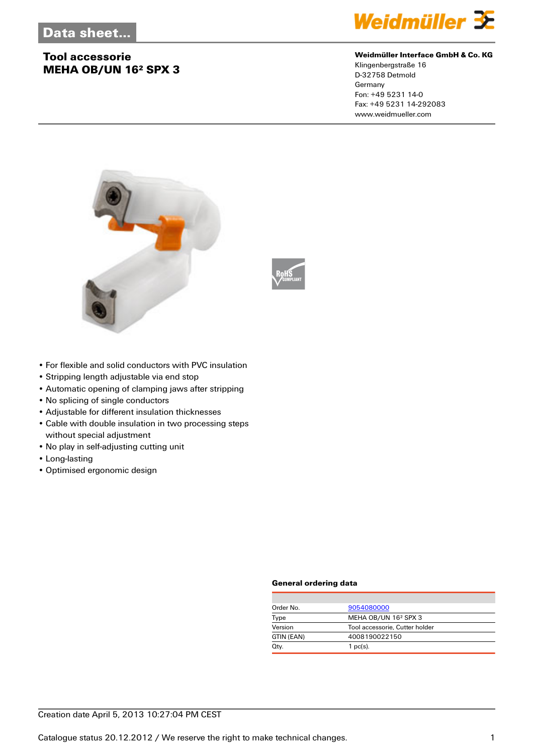# **Tool accessorie MEHA OB/UN 16² SPX 3**



#### **Weidmüller Interface GmbH & Co. KG**

Klingenbergstraße 16 D-32758 Detmold Germany Fon: +49 5231 14-0 Fax: +49 5231 14-292083 www.weidmueller.com





- For flexible and solid conductors with PVC insulation
- Stripping length adjustable via end stop
- Automatic opening of clamping jaws after stripping
- No splicing of single conductors
- Adjustable for different insulation thicknesses
- Cable with double insulation in two processing steps without special adjustment
- No play in self-adjusting cutting unit
- Long-lasting
- Optimised ergonomic design

#### **General ordering data**

| Order No.  | 9054080000                       |  |
|------------|----------------------------------|--|
| Type       | MEHA OB/UN 16 <sup>2</sup> SPX 3 |  |
| Version    | Tool accessorie, Cutter holder   |  |
| GTIN (EAN) | 4008190022150                    |  |
| Qty.       | $1$ pc(s).                       |  |